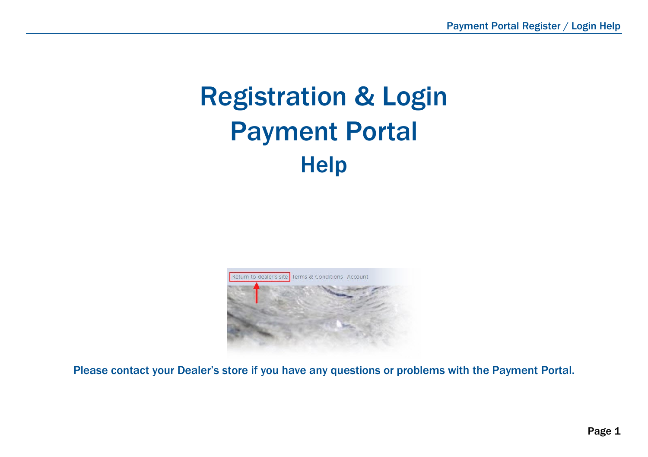# Registration & Login Payment Portal **Help**



Please contact your Dealer's store if you have any questions or problems with the Payment Portal.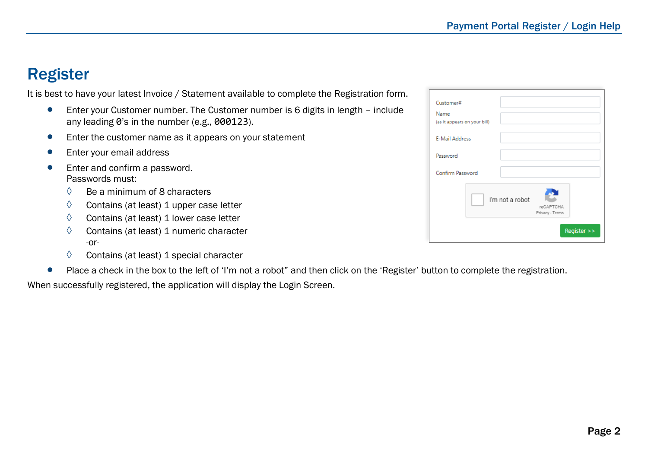#### Register

It is best to have your latest Invoice / Statement available to complete the Registration form.

- Enter your Customer number. The Customer number is 6 digits in length include any leading 0's in the number (e.g., 000123).
- Enter the customer name as it appears on your statement
- Enter your email address
- Enter and confirm a password. Passwords must:
	- $\Diamond$  Be a minimum of 8 characters
	- $\Diamond$  Contains (at least) 1 upper case letter
	- $\Diamond$  Contains (at least) 1 lower case letter
	- ◊ Contains (at least) 1 numeric character -or-
	- $\Diamond$  Contains (at least) 1 special character
- Place a check in the box to the left of 'I'm not a robot" and then click on the 'Register' button to complete the registration.

When successfully registered, the application will display the Login Screen.

| Customer#<br>Name<br>(as it appears on your bill) |                                                 |
|---------------------------------------------------|-------------------------------------------------|
| <b>E-Mail Address</b>                             |                                                 |
| Password                                          |                                                 |
| Confirm Password                                  |                                                 |
|                                                   | I'm not a robot<br>reCAPTCHA<br>Privacy - Terms |
|                                                   | Register >>                                     |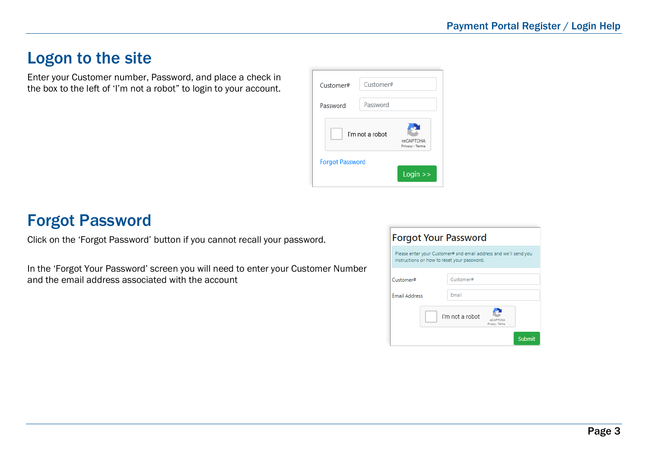### Logon to the site

Enter your Customer number, Password, and place a check in the box to the left of 'I'm not a robot" to login to your account.



## Forgot Password

Click on the 'Forgot Password' button if you cannot recall your password.

In the 'Forgot Your Password' screen you will need to enter your Customer Number and the email address associated with the account

| <b>Forgot Your Password</b>                                                                                     |                                                           |  |
|-----------------------------------------------------------------------------------------------------------------|-----------------------------------------------------------|--|
| Please enter your Customer# and email address and we'll send you<br>instructions on how to reset your password. |                                                           |  |
|                                                                                                                 |                                                           |  |
| Customer#                                                                                                       | Customer#                                                 |  |
|                                                                                                                 |                                                           |  |
| <b>Email Address</b>                                                                                            | Email                                                     |  |
|                                                                                                                 | I'm not a robot<br>NACAPTCHA<br>Privacy - Terms<br>Submit |  |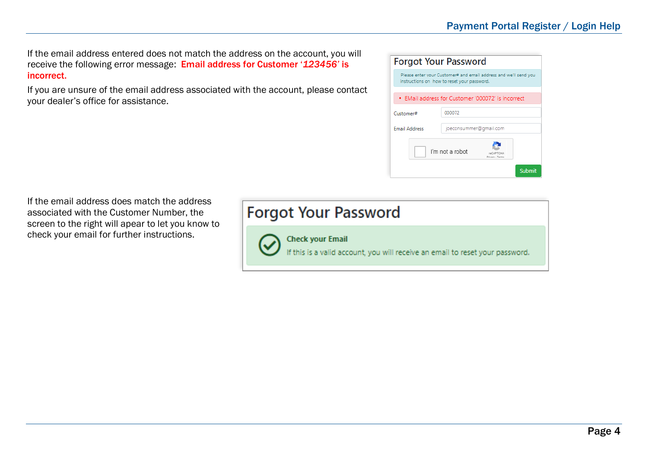If the email address entered does not match the address on the account, you will receive the following error message: Email address for Customer '*123456'* is incorrect.

If you are unsure of the email address associated with the account, please contact your dealer's office for assistance.

| <b>Forgot Your Password</b>                                                                                     |                        |  |
|-----------------------------------------------------------------------------------------------------------------|------------------------|--|
| Please enter your Customer# and email address and we'll send you<br>instructions on how to reset your password. |                        |  |
| . EMail address for Customer '000072' is incorrect                                                              |                        |  |
| Customer#                                                                                                       | 000072                 |  |
| <b>Email Address</b>                                                                                            | joeconsummer@gmail.com |  |
| I'm not a robot<br>reCARTCHA<br>Privacy - Terms                                                                 |                        |  |

If the email address does match the address associated with the Customer Number, the screen to the right will apear to let you know to check your email for further instructions.

**Forgot Your Password** 



**Check your Email** 

If this is a valid account, you will receive an email to reset your password.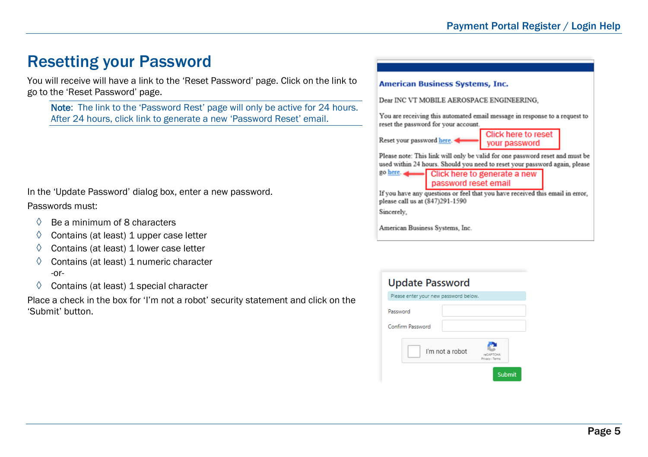## Resetting your Password

You will receive will have a link to the 'Reset Password' page. Click on the link to go to the 'Reset Password' page.

Note: The link to the 'Password Rest' page will only be active for 24 hours. After 24 hours, click link to generate a new 'Password Reset' email.

In the 'Update Password' dialog box, enter a new password.

#### Passwords must:

- $\Diamond$  Be a minimum of 8 characters
- $\Diamond$  Contains (at least) 1 upper case letter
- $\Diamond$  Contains (at least) 1 lower case letter
- $\Diamond$  Contains (at least) 1 numeric character -or-
- $\Diamond$  Contains (at least) 1 special character

Place a check in the box for 'I'm not a robot' security statement and click on the 'Submit' button.

#### **American Business Systems, Inc.**

Dear INC VT MOBILE AEROSPACE ENGINEERING.

You are receiving this automated email message in response to a request to reset the password for your account.

Reset your password here.



Please note: This link will only be valid for one password reset and must be used within 24 hours. Should you need to reset your password again, please

password reset email

If you have any questions or feel that you have received this email in error, please call us at (847)291-1590

Sincerely.

American Business Systems, Inc.